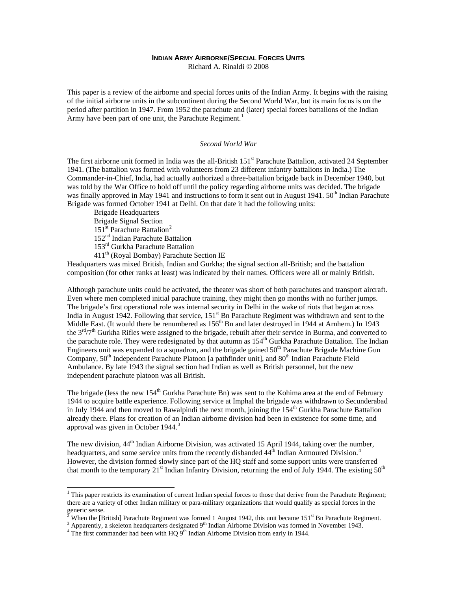# **INDIAN ARMY AIRBORNE/SPECIAL FORCES UNITS**

Richard A. Rinaldi © 2008

This paper is a review of the airborne and special forces units of the Indian Army. It begins with the raising of the initial airborne units in the subcontinent during the Second World War, but its main focus is on the period after partition in 1947. From 1952 the parachute and (later) special forces battalions of the Indian Army have been part of one unit, the Parachute Regiment.<sup>[1](#page-0-0)</sup>

#### *Second World War*

The first airborne unit formed in India was the all-British 151<sup>st</sup> Parachute Battalion, activated 24 September 1941. (The battalion was formed with volunteers from 23 different infantry battalions in India.) The Commander-in-Chief, India, had actually authorized a three-battalion brigade back in December 1940, but was told by the War Office to hold off until the policy regarding airborne units was decided. The brigade was finally approved in May 1941 and instructions to form it sent out in August 1941.  $50<sup>th</sup>$  Indian Parachute Brigade was formed October 1941 at Delhi. On that date it had the following units:

Brigade Headquarters Brigade Signal Section 151<sup>st</sup> Parachute Battalion<sup>[2](#page-0-1)</sup>

-

152nd Indian Parachute Battalion

153rd Gurkha Parachute Battalion

411th (Royal Bombay) Parachute Section IE

Headquarters was mixed British, Indian and Gurkha; the signal section all-British; and the battalion composition (for other ranks at least) was indicated by their names. Officers were all or mainly British.

Although parachute units could be activated, the theater was short of both parachutes and transport aircraft. Even where men completed initial parachute training, they might then go months with no further jumps. The brigade's first operational role was internal security in Delhi in the wake of riots that began across India in August 1942. Following that service, 151<sup>st</sup> Bn Parachute Regiment was withdrawn and sent to the Middle East. (It would there be renumbered as 156<sup>th</sup> Bn and later destroyed in 1944 at Arnhem.) In 1943 the  $3<sup>rd</sup>/7<sup>th</sup>$  Gurkha Rifles were assigned to the brigade, rebuilt after their service in Burma, and converted to the parachute role. They were redesignated by that autumn as 154<sup>th</sup> Gurkha Parachute Battalion. The Indian Engineers unit was expanded to a squadron, and the brigade gained  $50<sup>th</sup>$  Parachute Brigade Machine Gun Company,  $50<sup>th</sup>$  Independent Parachute Platoon [a pathfinder unit], and  $80<sup>th</sup>$  Indian Parachute Field Ambulance. By late 1943 the signal section had Indian as well as British personnel, but the new independent parachute platoon was all British.

The brigade (less the new  $154<sup>th</sup>$  Gurkha Parachute Bn) was sent to the Kohima area at the end of February 1944 to acquire battle experience. Following service at Imphal the brigade was withdrawn to Secunderabad in July 1944 and then moved to Rawalpindi the next month, joining the  $154<sup>th</sup>$  Gurkha Parachute Battalion already there. Plans for creation of an Indian airborne division had been in existence for some time, and approval was given in October 1944.[3](#page-0-2)

The new division, 44<sup>th</sup> Indian Airborne Division, was activated 15 April 1944, taking over the number, headquarters, and some service units from the recently disbanded  $44<sup>th</sup>$  $44<sup>th</sup>$  Indian Armoured Division.<sup>4</sup> However, the division formed slowly since part of the HQ staff and some support units were transferred that month to the temporary 21<sup>st</sup> Indian Infantry Division, returning the end of July 1944. The existing 50<sup>th</sup>

<span id="page-0-0"></span><sup>&</sup>lt;sup>1</sup> This paper restricts its examination of current Indian special forces to those that derive from the Parachute Regiment; there are a variety of other Indian military or para-military organizations that would qualify as special forces in the generic sense.<br><sup>2</sup> When the IP:

When the [British] Parachute Regiment was formed 1 August 1942, this unit became  $151<sup>st</sup>$  Bn Parachute Regiment.

<span id="page-0-3"></span><span id="page-0-2"></span><span id="page-0-1"></span> $3$  Apparently, a skeleton headquarters designated 9<sup>th</sup> Indian Airborne Division was formed in November 1943.

 $4$  The first commander had been with HQ  $\overline{9}^{th}$  Indian Airborne Division from early in 1944.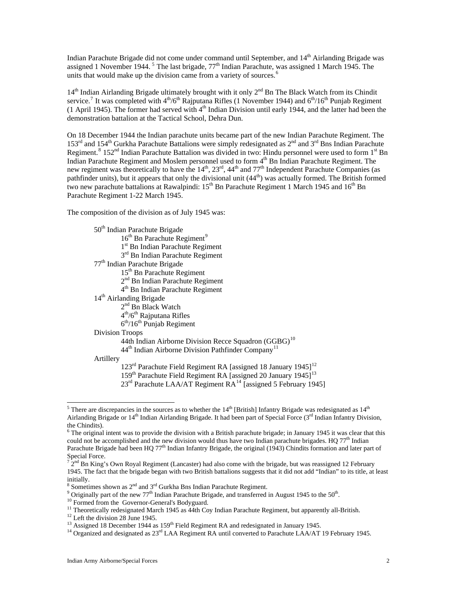Indian Parachute Brigade did not come under command until September, and 14<sup>th</sup> Airlanding Brigade was assigned 1 November 1944.<sup>[5](#page-1-0)</sup> The last brigade,  $77<sup>th</sup>$  Indian Parachute, was assigned 1 March 1945. The units that would make up the division came from a variety of sources.<sup>[6](#page-1-1)</sup>

 $14<sup>th</sup>$  Indian Airlanding Brigade ultimately brought with it only  $2<sup>nd</sup>$  Bn The Black Watch from its Chindit service.<sup>[7](#page-1-2)</sup> It was completed with  $4<sup>th</sup>/6<sup>th</sup>$  Rajputana Rifles (1 November 1944) and  $6<sup>th</sup>/16<sup>th</sup>$  Punjab Regiment  $(1$  April 1945). The former had served with  $4<sup>th</sup>$  Indian Division until early 1944, and the latter had been the demonstration battalion at the Tactical School, Dehra Dun.

On 18 December 1944 the Indian parachute units became part of the new Indian Parachute Regiment. The  $153<sup>rd</sup>$  and  $154<sup>th</sup>$  Gurkha Parachute Battalions were simply redesignated as  $2<sup>nd</sup>$  and  $3<sup>rd</sup>$  Bns Indian Parachute Regiment.<sup>[8](#page-1-3)</sup> 152<sup>nd</sup> Indian Parachute Battalion was divided in two: Hindu personnel were used to form 1<sup>st</sup> Bn Indian Parachute Regiment and Moslem personnel used to form 4<sup>th</sup> Bn Indian Parachute Regiment. The new regiment was theoretically to have the 14<sup>th</sup>, 23<sup>rd</sup>, 44<sup>th</sup> and 77<sup>th</sup> Independent Parachute Companies (as pathfinder units), but it appears that only the divisional unit (44<sup>th</sup>) was actually formed. The British formed two new parachute battalions at Rawalpindi:  $15^{th}$  Bn Parachute Regiment 1 March 1945 and  $16^{th}$  Bn Parachute Regiment 1-22 March 1945.

The composition of the division as of July 1945 was:

| 50 <sup>th</sup> Indian Parachute Brigade                                              |
|----------------------------------------------------------------------------------------|
| $16th$ Bn Parachute Regiment <sup>9</sup>                                              |
| 1 <sup>st</sup> Bn Indian Parachute Regiment                                           |
| 3 <sup>rd</sup> Bn Indian Parachute Regiment                                           |
| 77 <sup>th</sup> Indian Parachute Brigade                                              |
| 15 <sup>th</sup> Bn Parachute Regiment                                                 |
| $2nd$ Bn Indian Parachute Regiment                                                     |
| 4 <sup>th</sup> Bn Indian Parachute Regiment                                           |
| 14 <sup>th</sup> Airlanding Brigade                                                    |
| $2nd$ Bn Black Watch                                                                   |
| $4th/6th$ Rajputana Rifles                                                             |
| $6th/16th$ Punjab Regiment                                                             |
| Division Troops                                                                        |
| 44th Indian Airborne Division Recce Squadron $(GGBG)^{10}$                             |
| 44 <sup>th</sup> Indian Airborne Division Pathfinder Company <sup>11</sup>             |
| Artillery                                                                              |
| 123 <sup>rd</sup> Parachute Field Regiment RA [assigned 18 January 1945] <sup>12</sup> |
| 159 <sup>th</sup> Parachute Field Regiment RA [assigned 20 January 1945] <sup>13</sup> |
| 23 <sup>rd</sup> Parachute LAA/AT Regiment RA <sup>14</sup> [assigned 5 February 1945] |

<span id="page-1-0"></span><sup>1</sup> <sup>5</sup> There are discrepancies in the sources as to whether the  $14<sup>th</sup>$  [British] Infantry Brigade was redesignated as  $14<sup>th</sup>$ Airlanding Brigade or  $14<sup>th</sup>$  Indian Airlanding Brigade. It had been part of Special Force ( $3<sup>rd</sup>$  Indian Infantry Division, the Chindits).

<span id="page-1-1"></span> $6$  The original intent was to provide the division with a British parachute brigade; in January 1945 it was clear that this could not be accomplished and the new division would thus have two Indian parachute brigades. HQ 77<sup>th</sup> Indian Parachute Brigade had been HO  $77<sup>th</sup>$  Indian Infantry Brigade, the original (1943) Chindits formation and later part of Special Force.

<span id="page-1-2"></span> $^{7}$  2<sup>nd</sup> Bn King's Own Royal Regiment (Lancaster) had also come with the brigade, but was reassigned 12 February 1945. The fact that the brigade began with two British battalions suggests that it did not add "Indian" to its title, at least initially.

<sup>&</sup>lt;sup>8</sup> Sometimes shown as  $2<sup>nd</sup>$  and  $3<sup>rd</sup>$  Gurkha Bns Indian Parachute Regiment.

<span id="page-1-4"></span><span id="page-1-3"></span><sup>&</sup>lt;sup>9</sup> Originally part of the new 77<sup>th</sup> Indian Parachute Brigade, and transferred in August 1945 to the 50<sup>th</sup>. <sup>10</sup> Formed from the Governor-General's Bodyguard.

<span id="page-1-6"></span><span id="page-1-5"></span><sup>&</sup>lt;sup>11</sup> Theoretically redesignated March 1945 as 44th Coy Indian Parachute Regiment, but apparently all-British.

<span id="page-1-8"></span><span id="page-1-7"></span><sup>&</sup>lt;sup>12</sup> Left the division 28 June 1945.<br><sup>13</sup> Assigned 18 December 1944 as  $159<sup>th</sup>$  Field Regiment RA and redesignated in January 1945.

<span id="page-1-9"></span><sup>&</sup>lt;sup>14</sup> Organized and designated as  $23<sup>rd</sup>$  LAA Regiment RA until converted to Parachute LAA/AT 19 February 1945.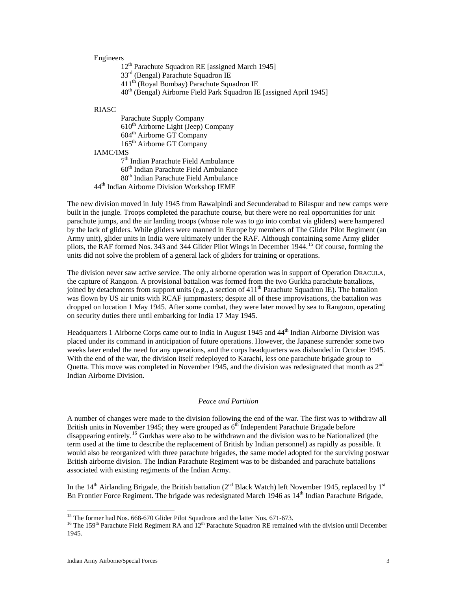# Engineers

12<sup>th</sup> Parachute Squadron RE [assigned March 1945]

33rd (Bengal) Parachute Squadron IE

411th (Royal Bombay) Parachute Squadron IE

 $40<sup>th</sup>$  (Bengal) Airborne Field Park Squadron IE [assigned April 1945]

#### RIASC

Parachute Supply Company  $610<sup>th</sup>$  Airborne Light (Jeep) Company th Airborne GT Company th Airborne GT Company IAMC/IMS th Indian Parachute Field Ambulance th Indian Parachute Field Ambulance th Indian Parachute Field Ambulance th Indian Airborne Division Workshop IEME

The new division moved in July 1945 from Rawalpindi and Secunderabad to Bilaspur and new camps were built in the jungle. Troops completed the parachute course, but there were no real opportunities for unit parachute jumps, and the air landing troops (whose role was to go into combat via gliders) were hampered by the lack of gliders. While gliders were manned in Europe by members of The Glider Pilot Regiment (an Army unit), glider units in India were ultimately under the RAF. Although containing some Army glider pilots, the RAF formed Nos. 343 and 344 Glider Pilot Wings in December 1944.[15](#page-2-0) Of course, forming the units did not solve the problem of a general lack of gliders for training or operations.

The division never saw active service. The only airborne operation was in support of Operation DRACULA, the capture of Rangoon. A provisional battalion was formed from the two Gurkha parachute battalions, joined by detachments from support units (e.g., a section of  $411<sup>th</sup>$  Parachute Squadron IE). The battalion was flown by US air units with RCAF jumpmasters; despite all of these improvisations, the battalion was dropped on location 1 May 1945. After some combat, they were later moved by sea to Rangoon, operating on security duties there until embarking for India 17 May 1945.

Headquarters 1 Airborne Corps came out to India in August 1945 and 44<sup>th</sup> Indian Airborne Division was placed under its command in anticipation of future operations. However, the Japanese surrender some two weeks later ended the need for any operations, and the corps headquarters was disbanded in October 1945. With the end of the war, the division itself redeployed to Karachi, less one parachute brigade group to Quetta. This move was completed in November 1945, and the division was redesignated that month as 2<sup>nd</sup> Indian Airborne Division.

#### *Peace and Partition*

A number of changes were made to the division following the end of the war. The first was to withdraw all British units in November 1945; they were grouped as  $6<sup>th</sup>$  Independent Parachute Brigade before disappearing entirely.<sup>[16](#page-2-1)</sup> Gurkhas were also to be withdrawn and the division was to be Nationalized (the term used at the time to describe the replacement of British by Indian personnel) as rapidly as possible. It would also be reorganized with three parachute brigades, the same model adopted for the surviving postwar British airborne division. The Indian Parachute Regiment was to be disbanded and parachute battalions associated with existing regiments of the Indian Army.

In the 14<sup>th</sup> Airlanding Brigade, the British battalion ( $2<sup>nd</sup>$  Black Watch) left November 1945, replaced by 1<sup>st</sup> Bn Frontier Force Regiment. The brigade was redesignated March 1946 as 14<sup>th</sup> Indian Parachute Brigade,

<span id="page-2-0"></span><sup>&</sup>lt;sup>15</sup> The former had Nos. 668-670 Glider Pilot Squadrons and the latter Nos. 671-673.

<span id="page-2-1"></span><sup>&</sup>lt;sup>16</sup> The 159<sup>th</sup> Parachute Field Regiment RA and  $12<sup>th</sup>$  Parachute Squadron RE remained with the division until December 1945.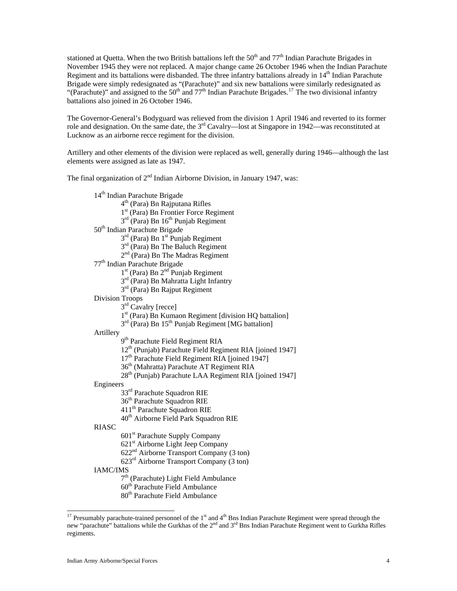stationed at Quetta. When the two British battalions left the  $50<sup>th</sup>$  and  $77<sup>th</sup>$  Indian Parachute Brigades in November 1945 they were not replaced. A major change came 26 October 1946 when the Indian Parachute Regiment and its battalions were disbanded. The three infantry battalions already in  $14<sup>th</sup>$  Indian Parachute Brigade were simply redesignated as "(Parachute)" and six new battalions were similarly redesignated as "(Parachute)" and assigned to the 50<sup>th</sup> and 77<sup>th</sup> Indian Parachute Brigades.<sup>[17](#page-3-0)</sup> The two divisional infantry battalions also joined in 26 October 1946.

The Governor-General's Bodyguard was relieved from the division 1 April 1946 and reverted to its former role and designation. On the same date, the  $3<sup>rd</sup>$  Cavalry—lost at Singapore in 1942—was reconstituted at Lucknow as an airborne recce regiment for the division.

Artillery and other elements of the division were replaced as well, generally during 1946—although the last elements were assigned as late as 1947.

The final organization of  $2<sup>nd</sup>$  Indian Airborne Division, in January 1947, was:

14<sup>th</sup> Indian Parachute Brigade 4th (Para) Bn Rajputana Rifles 1st (Para) Bn Frontier Force Regiment  $3<sup>rd</sup>$  (Para) Bn  $16<sup>th</sup>$  Punjab Regiment 50<sup>th</sup> Indian Parachute Brigade  $3<sup>rd</sup>$  (Para) Bn  $1<sup>st</sup>$  Punjab Regiment  $3<sup>rd</sup>$  (Para) Bn The Baluch Regiment 2nd (Para) Bn The Madras Regiment 77th Indian Parachute Brigade 1<sup>st</sup> (Para) Bn 2<sup>nd</sup> Punjab Regiment 3rd (Para) Bn Mahratta Light Infantry 3rd (Para) Bn Rajput Regiment Division Troops  $3<sup>rd</sup>$  Cavalry [recce] 1st (Para) Bn Kumaon Regiment [division HQ battalion]  $3<sup>rd</sup>$  (Para) Bn  $15<sup>th</sup>$  Punjab Regiment [MG battalion] Artillery 9<sup>th</sup> Parachute Field Regiment RIA 12th (Punjab) Parachute Field Regiment RIA [joined 1947] 17<sup>th</sup> Parachute Field Regiment RIA [joined 1947] 36th (Mahratta) Parachute AT Regiment RIA 28<sup>th</sup> (Punjab) Parachute LAA Regiment RIA [joined 1947] Engineers 33rd Parachute Squadron RIE 36th Parachute Squadron RIE 411<sup>th</sup> Parachute Squadron RIE 40th Airborne Field Park Squadron RIE RIASC 601st Parachute Supply Company 621st Airborne Light Jeep Company 622nd Airborne Transport Company (3 ton) 623rd Airborne Transport Company (3 ton) IAMC/IMS

7<sup>th</sup> (Parachute) Light Field Ambulance

60<sup>th</sup> Parachute Field Ambulance

80<sup>th</sup> Parachute Field Ambulance

-

<span id="page-3-0"></span><sup>&</sup>lt;sup>17</sup> Presumably parachute-trained personnel of the  $1<sup>st</sup>$  and  $4<sup>th</sup>$  Bns Indian Parachute Regiment were spread through the new "parachute" battalions while the Gurkhas of the 2<sup>nd</sup> and 3<sup>rd</sup> Bns Indian Parachute Regiment went to Gurkha Rifles regiments.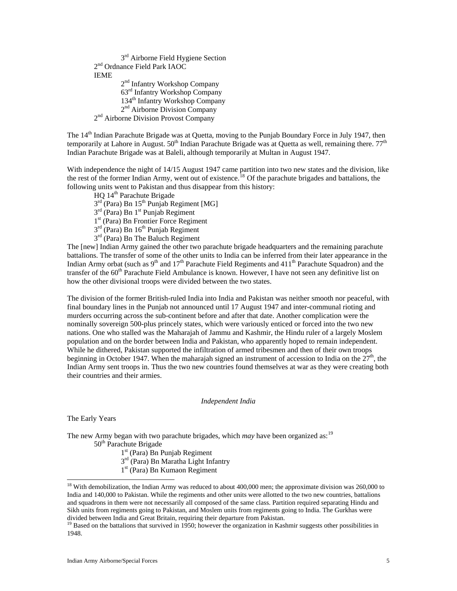3rd Airborne Field Hygiene Section 2<sup>nd</sup> Ordnance Field Park IAOC IEME 2<sup>nd</sup> Infantry Workshop Company 63rd Infantry Workshop Company 134<sup>th</sup> Infantry Workshop Company 2nd Airborne Division Company 2<sup>nd</sup> Airborne Division Provost Company

The 14<sup>th</sup> Indian Parachute Brigade was at Quetta, moving to the Punjab Boundary Force in July 1947, then temporarily at Lahore in August.  $50<sup>th</sup>$  Indian Parachute Brigade was at Quetta as well, remaining there.  $77<sup>th</sup>$ Indian Parachute Brigade was at Baleli, although temporarily at Multan in August 1947.

With independence the night of 14/15 August 1947 came partition into two new states and the division, like the rest of the former Indian Army, went out of existence.<sup>[18](#page-4-0)</sup> Of the parachute brigades and battalions, the following units went to Pakistan and thus disappear from this history:

HQ 14th Parachute Brigade  $3<sup>rd</sup>$  (Para) Bn  $15<sup>th</sup>$  Punjab Regiment [MG]  $3<sup>rd</sup>$  (Para) Bn  $1<sup>st</sup>$  Punjab Regiment 1<sup>st</sup> (Para) Bn Frontier Force Regiment  $3<sup>rd</sup>$  (Para) Bn  $16<sup>th</sup>$  Punjab Regiment 3rd (Para) Bn The Baluch Regiment

The [new] Indian Army gained the other two parachute brigade headquarters and the remaining parachute battalions. The transfer of some of the other units to India can be inferred from their later appearance in the Indian Army orbat (such as  $9<sup>th</sup>$  and  $17<sup>th</sup>$  Parachute Field Regiments and  $411<sup>th</sup>$  Parachute Squadron) and the transfer of the  $60<sup>th</sup>$  Parachute Field Ambulance is known. However, I have not seen any definitive list on how the other divisional troops were divided between the two states.

The division of the former British-ruled India into India and Pakistan was neither smooth nor peaceful, with final boundary lines in the Punjab not announced until 17 August 1947 and inter-communal rioting and murders occurring across the sub-continent before and after that date. Another complication were the nominally sovereign 500-plus princely states, which were variously enticed or forced into the two new nations. One who stalled was the Maharajah of Jammu and Kashmir, the Hindu ruler of a largely Moslem population and on the border between India and Pakistan, who apparently hoped to remain independent. While he dithered, Pakistan supported the infiltration of armed tribesmen and then of their own troops beginning in October 1947. When the maharajah signed an instrument of accession to India on the  $27<sup>th</sup>$ , the Indian Army sent troops in. Thus the two new countries found themselves at war as they were creating both their countries and their armies.

# *Independent India*

The Early Years

1

The new Army began with two parachute brigades, which *may* have been organized as:<sup>[19](#page-4-1)</sup> 50<sup>th</sup> Parachute Brigade

1st (Para) Bn Punjab Regiment

3rd (Para) Bn Maratha Light Infantry

1st (Para) Bn Kumaon Regiment

<span id="page-4-0"></span><sup>&</sup>lt;sup>18</sup> With demobilization, the Indian Army was reduced to about  $400,000$  men; the approximate division was  $260,000$  to India and 140,000 to Pakistan. While the regiments and other units were allotted to the two new countries, battalions and squadrons in them were not necessarily all composed of the same class. Partition required separating Hindu and Sikh units from regiments going to Pakistan, and Moslem units from regiments going to India. The Gurkhas were divided between India and Great Britain, requiring their departure from Pakistan.

<span id="page-4-1"></span> $19$  Based on the battalions that survived in 1950; however the organization in Kashmir suggests other possibilities in 1948.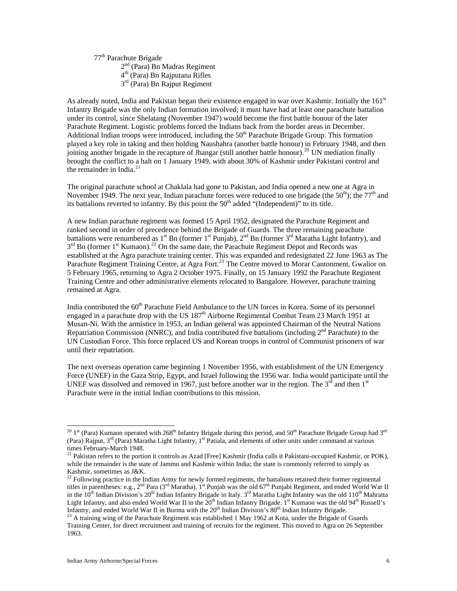77th Parachute Brigade

2nd (Para) Bn Madras Regiment

4th (Para) Bn Rajputana Rifles

3rd (Para) Bn Rajput Regiment

As already noted, India and Pakistan began their existence engaged in war over Kashmir. Initially the 161<sup>st</sup> Infantry Brigade was the only Indian formation involved; it must have had at least one parachute battalion under its control, since Shelatang (November 1947) would become the first battle honour of the later Parachute Regiment. Logistic problems forced the Indians back from the border areas in December. Additional Indian troops were introduced, including the 50<sup>th</sup> Parachute Brigade Group. This formation played a key role in taking and then holding Naushahra (another battle honour) in February 1948, and then joining another brigade in the recapture of Jhangar (still another battle honour).[20](#page-5-0) UN mediation finally brought the conflict to a halt on 1 January 1949, with about 30% of Kashmir under Pakistani control and the remainder in India. $21$ 

The original parachute school at Chaklala had gone to Pakistan, and India opened a new one at Agra in November 1949. The next year, Indian parachute forces were reduced to one brigade (the  $50<sup>th</sup>$ ); the  $77<sup>th</sup>$  and its battalions reverted to infantry. By this point the  $50<sup>th</sup>$  added "(Independent)" to its title.

A new Indian parachute regiment was formed 15 April 1952, designated the Parachute Regiment and ranked second in order of precedence behind the Brigade of Guards. The three remaining parachute battalions were renumbered as  $1^{st}$  Bn (former  $1^{st}$  Punjab),  $2^{nd}$  Bn (former  $3^{rd}$  Maratha Light Infantry), and  $3<sup>rd</sup>$  Bn (former 1<sup>st</sup> Kumaon).<sup>[22](#page-5-2)</sup> On the same date, the Parachute Regiment Depot and Records was established at the Agra parachute training center. This was expanded and redesignated 22 June 1963 as The Parachute Regiment Training Centre, at Agra Fort.<sup>[23](#page-5-3)</sup> The Centre moved to Morar Cantonment, Gwalior on 5 February 1965, returning to Agra 2 October 1975. Finally, on 15 January 1992 the Parachute Regiment Training Centre and other administrative elements relocated to Bangalore. However, parachute training remained at Agra.

India contributed the 60<sup>th</sup> Parachute Field Ambulance to the UN forces in Korea. Some of its personnel engaged in a parachute drop with the US 187<sup>th</sup> Airborne Regimental Combat Team 23 March 1951 at Musan-Ni. With the armistice in 1953, an Indian general was appointed Chairman of the Neutral Nations Repatriation Commission (NNRC), and India contributed five battalions (including  $2<sup>nd</sup>$  Parachute) to the UN Custodian Force. This force replaced US and Korean troops in control of Communist prisoners of war until their repatriation.

The next overseas operation came beginning 1 November 1956, with establishment of the UN Emergency Force (UNEF) in the Gaza Strip, Egypt, and Israel following the 1956 war. India would participate until the UNEF was dissolved and removed in 1967, just before another war in the region. The  $3<sup>rd</sup>$  and then  $1<sup>st</sup>$ Parachute were in the initial Indian contributions to this mission.

 $\overline{a}$ 

<span id="page-5-0"></span><sup>&</sup>lt;sup>20</sup> 1<sup>st</sup> (Para) Kumaon operated with 268<sup>th</sup> Infantry Brigade during this period, and 50<sup>th</sup> Parachute Brigade Group had 3<sup>rd</sup> (Para) Rajput,  $3^{rd}$  (Para) Maratha Light Infantry,  $1^{st}$  Patiala, and elements of other units under command at various times February-March 1948.

<span id="page-5-1"></span><sup>&</sup>lt;sup>21</sup> Pakistan refers to the portion it controls as Azad [Free] Kashmir (India calls it Pakistani-occupied Kashmir, or POK), while the remainder is the state of Jammu and Kashmir within India; the state is commonly referred to simply as Kashmir, sometimes as J&K.

<span id="page-5-2"></span> $22$  Following practice in the Indian Army for newly formed regiments, the battalions retained their former regimental titles in parentheses: e.g.,  $2^{nd}$  Para (3<sup>rd</sup> Maratha). 1<sup>st</sup> Punjab was the old 67<sup>th</sup> Punjabi Regiment, and ended World War II in the  $10^{th}$  Indian Division's 20<sup>th</sup> Indian Infantry Brigade in Italy. 3<sup>rd</sup> Maratha Light Infantry was the old  $110^{th}$  Mahratta Light Infantry, and also ended World War II in the 20<sup>th</sup> Indian Infantry Brigade. 1<sup>st</sup> Kumaon was the old 94<sup>th</sup> Russell's<br>Infantry, and ended World War II in Burma with the 20<sup>th</sup> Indian Division's 80<sup>th</sup> Indian Infantr

<span id="page-5-3"></span> $^{23}$  A training wing of the Parachute Regiment was established 1 May 1962 at Kota, under the Brigade of Guards Training Center, for direct recruitment and training of recruits for the regiment. This moved to Agra on 26 September 1963.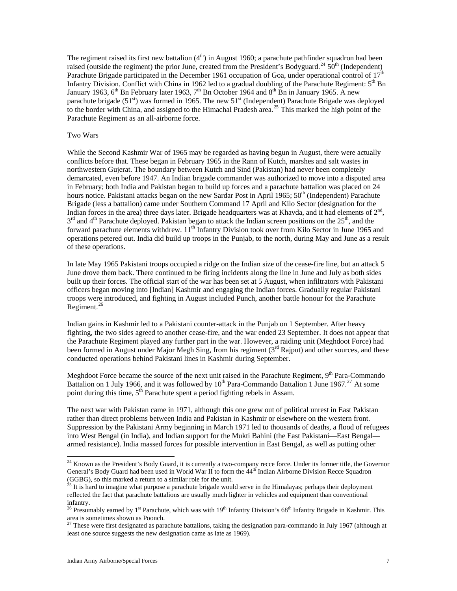The regiment raised its first new battalion  $(4<sup>th</sup>)$  in August 1960; a parachute pathfinder squadron had been raised (outside the regiment) the prior June, created from the President's Bodyguard.<sup>[24](#page-6-0)</sup> 50<sup>th</sup> (Independent) Parachute Brigade participated in the December 1961 occupation of Goa, under operational control of 17<sup>th</sup> Infantry Division. Conflict with China in 1962 led to a gradual doubling of the Parachute Regiment:  $5<sup>th</sup>$  Bn January 1963, 6<sup>th</sup> Bn February later 1963, 7<sup>th</sup> Bn October 1964 and 8<sup>th</sup> Bn in January 1965. A new parachute brigade (51 $\text{N}$ ) was formed in 1965. The new 51 $\text{N}$  (Independent) Parachute Brigade was deployed to the border with China, and assigned to the Himachal Pradesh area.<sup>[25](#page-6-1)</sup> This marked the high point of the Parachute Regiment as an all-airborne force.

# Two Wars

While the Second Kashmir War of 1965 may be regarded as having begun in August, there were actually conflicts before that. These began in February 1965 in the Rann of Kutch, marshes and salt wastes in northwestern Gujerat. The boundary between Kutch and Sind (Pakistan) had never been completely demarcated, even before 1947. An Indian brigade commander was authorized to move into a disputed area in February; both India and Pakistan began to build up forces and a parachute battalion was placed on 24 hours notice. Pakistani attacks began on the new Sardar Post in April 1965; 50<sup>th</sup> (Independent) Parachute Brigade (less a battalion) came under Southern Command 17 April and Kilo Sector (designation for the Indian forces in the area) three days later. Brigade headquarters was at Khavda, and it had elements of  $2<sup>nd</sup>$ ,  $3<sup>rd</sup>$  and 4<sup>th</sup> Parachute deployed. Pakistan began to attack the Indian screen positions on the 25<sup>th</sup>, and the forward parachute elements withdrew. 11<sup>th</sup> Infantry Division took over from Kilo Sector in June 1965 and operations petered out. India did build up troops in the Punjab, to the north, during May and June as a result of these operations.

In late May 1965 Pakistani troops occupied a ridge on the Indian size of the cease-fire line, but an attack 5 June drove them back. There continued to be firing incidents along the line in June and July as both sides built up their forces. The official start of the war has been set at 5 August, when infiltrators with Pakistani officers began moving into [Indian] Kashmir and engaging the Indian forces. Gradually regular Pakistani troops were introduced, and fighting in August included Punch, another battle honour for the Parachute Regiment.<sup>[26](#page-6-2)</sup>

Indian gains in Kashmir led to a Pakistani counter-attack in the Punjab on 1 September. After heavy fighting, the two sides agreed to another cease-fire, and the war ended 23 September. It does not appear that the Parachute Regiment played any further part in the war. However, a raiding unit (Meghdoot Force) had been formed in August under Major Megh Sing, from his regiment  $(3<sup>rd</sup>$  Rajput) and other sources, and these conducted operations behind Pakistani lines in Kashmir during September.

Meghdoot Force became the source of the next unit raised in the Parachute Regiment,  $9<sup>th</sup>$  Para-Commando Battalion on 1 July 1966, and it was followed by  $10^{th}$  Para-Commando Battalion 1 June 1967.<sup>[27](#page-6-3)</sup> At some point during this time,  $5<sup>th</sup>$  Parachute spent a period fighting rebels in Assam.

The next war with Pakistan came in 1971, although this one grew out of political unrest in East Pakistan rather than direct problems between India and Pakistan in Kashmir or elsewhere on the western front. Suppression by the Pakistani Army beginning in March 1971 led to thousands of deaths, a flood of refugees into West Bengal (in India), and Indian support for the Mukti Bahini (the East Pakistani—East Bengal armed resistance). India massed forces for possible intervention in East Bengal, as well as putting other

-

<span id="page-6-0"></span> $2<sup>24</sup>$  Known as the President's Body Guard, it is currently a two-company recce force. Under its former title, the Governor General's Body Guard had been used in World War II to form the 44<sup>th</sup> Indian Airborne Division Recce Squadron (GGBG), so this marked a return to a similar role for the unit.

<span id="page-6-1"></span> $^{25}$  It is hard to imagine what purpose a parachute brigade would serve in the Himalayas; perhaps their deployment reflected the fact that parachute battalions are usually much lighter in vehicles and equipment than conventional infantry.

<span id="page-6-2"></span><sup>&</sup>lt;sup>26</sup> Presumably earned by 1<sup>st</sup> Parachute, which was with 19<sup>th</sup> Infantry Division's 68<sup>th</sup> Infantry Brigade in Kashmir. This area is sometimes shown as Poonch.

<span id="page-6-3"></span> $2^{27}$  These were first designated as parachute battalions, taking the designation para-commando in July 1967 (although at least one source suggests the new designation came as late as 1969).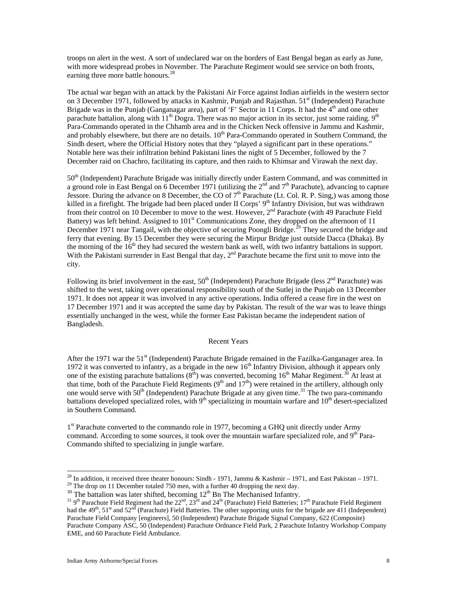troops on alert in the west. A sort of undeclared war on the borders of East Bengal began as early as June, with more widespread probes in November. The Parachute Regiment would see service on both fronts, earning three more battle honours.<sup>[28](#page-7-0)</sup>

The actual war began with an attack by the Pakistani Air Force against Indian airfields in the western sector on 3 December 1971, followed by attacks in Kashmir, Punjab and Rajasthan. 51<sup>st</sup> (Independent) Parachute Brigade was in the Punjab (Ganganagar area), part of 'F' Sector in 11 Corps. It had the  $4<sup>th</sup>$  and one other parachute battalion, along with  $11<sup>th</sup>$  Dogra. There was no major action in its sector, just some raiding. 9<sup>th</sup> Para-Commando operated in the Chhamb area and in the Chicken Neck offensive in Jammu and Kashmir, and probably elsewhere, but there are no details. 10<sup>th</sup> Para-Commando operated in Southern Command, the Sindh desert, where the Official History notes that they "played a significant part in these operations." Notable here was their infiltration behind Pakistani lines the night of 5 December, followed by the 7 December raid on Chachro, facilitating its capture, and then raids to Khimsar and Virawah the next day.

50<sup>th</sup> (Independent) Parachute Brigade was initially directly under Eastern Command, and was committed in a ground role in East Bengal on 6 December 1971 (utilizing the  $2^{nd}$  and  $7^{th}$  Parachute), advancing to capture Jessore. During the advance on 8 December, the CO of  $7<sup>th</sup>$  Parachute (Lt. Col. R. P. Sing,) was among those killed in a firefight. The brigade had been placed under II Corps' 9<sup>th</sup> Infantry Division, but was withdrawn from their control on 10 December to move to the west. However,  $2<sup>nd</sup>$  Parachute (with 49 Parachute Field Battery) was left behind. Assigned to 101<sup>st</sup> Communications Zone, they dropped on the afternoon of 11 December 1971 near Tangail, with the objective of securing Poongli Bridge.<sup>[29](#page-7-1)</sup> They secured the bridge and ferry that evening. By 15 December they were securing the Mirpur Bridge just outside Dacca (Dhaka). By the morning of the  $16<sup>th</sup>$  they had secured the western bank as well, with two infantry battalions in support. With the Pakistani surrender in East Bengal that day, 2<sup>nd</sup> Parachute became the first unit to move into the city.

Following its brief involvement in the east,  $50<sup>th</sup>$  (Independent) Parachute Brigade (less  $2<sup>nd</sup>$  Parachute) was shifted to the west, taking over operational responsibility south of the Sutlej in the Punjab on 13 December 1971. It does not appear it was involved in any active operations. India offered a cease fire in the west on 17 December 1971 and it was accepted the same day by Pakistan. The result of the war was to leave things essentially unchanged in the west, while the former East Pakistan became the independent nation of Bangladesh.

#### Recent Years

After the 1971 war the 51<sup>st</sup> (Independent) Parachute Brigade remained in the Fazilka-Ganganager area. In 1972 it was converted to infantry, as a brigade in the new  $16<sup>th</sup>$  Infantry Division, although it appears only one of the existing parachute battalions  $(8^{th})$  was converted, becoming 16<sup>th</sup> Mahar Regiment.<sup>[30](#page-7-2)</sup> At least at that time, both of the Parachute Field Regiments  $(9<sup>th</sup>$  and  $17<sup>th</sup>)$  were retained in the artillery, although only one would serve with  $50<sup>th</sup>$  (Independent) Parachute Brigade at any given time.<sup>[31](#page-7-3)</sup> The two para-commando battalions developed specialized roles, with  $9<sup>th</sup>$  specializing in mountain warfare and  $10<sup>th</sup>$  desert-specialized in Southern Command.

<sup>1st</sup> Parachute converted to the commando role in 1977, becoming a GHQ unit directly under Army command. According to some sources, it took over the mountain warfare specialized role, and  $9<sup>th</sup>$  Para-Commando shifted to specializing in jungle warfare.

 $\overline{\phantom{a}}$ 

<sup>&</sup>lt;sup>28</sup> In addition, it received three theater honours: Sindh - 1971, Jammu & Kashmir – 1971, and East Pakistan – 1971.

<span id="page-7-1"></span><span id="page-7-0"></span><sup>&</sup>lt;sup>29</sup> The drop on 11 December totaled 750 men, with a further 40 dropping the next day.<br><sup>30</sup> The battalion was later shifted, becoming  $12<sup>th</sup>$  Bn The Mechanised Infantry.

<span id="page-7-3"></span><span id="page-7-2"></span><sup>&</sup>lt;sup>31</sup> 9<sup>th</sup> Parachute Field Regiment had the 22<sup>nd</sup>, 23<sup>rd</sup> and 24<sup>th</sup> (Parachute) Field Batteries; 17<sup>th</sup> Parachute Field Regiment had the  $49<sup>th</sup>$ ,  $51<sup>st</sup>$  and  $52<sup>nd</sup>$  (Parachute) Field Batteries. The other supporting units for the brigade are 411 (Independent) Parachute Field Company [engineers], 50 (Independent) Parachute Brigade Signal Company, 622 (Composite) Parachute Company ASC, 50 (Independent) Parachute Ordnance Field Park, 2 Parachute Infantry Workshop Company EME, and 60 Parachute Field Ambulance.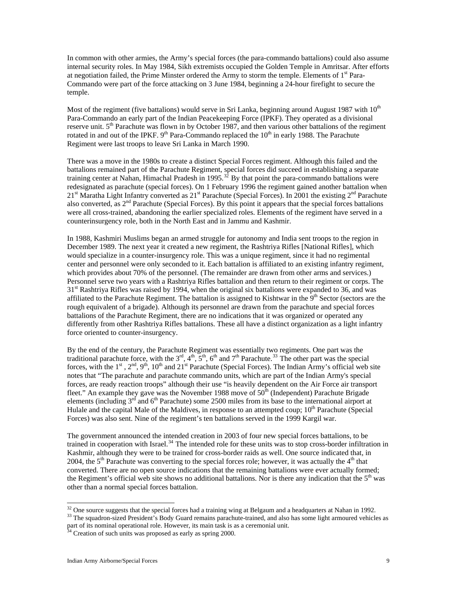In common with other armies, the Army's special forces (the para-commando battalions) could also assume internal security roles. In May 1984, Sikh extremists occupied the Golden Temple in Amritsar. After efforts at negotiation failed, the Prime Minster ordered the Army to storm the temple. Elements of  $1<sup>st</sup>$  Para-Commando were part of the force attacking on 3 June 1984, beginning a 24-hour firefight to secure the temple.

Most of the regiment (five battalions) would serve in Sri Lanka, beginning around August 1987 with  $10<sup>th</sup>$ Para-Commando an early part of the Indian Peacekeeping Force (IPKF). They operated as a divisional reserve unit. 5<sup>th</sup> Parachute was flown in by October 1987, and then various other battalions of the regiment rotated in and out of the IPKF.  $9<sup>th</sup>$  Para-Commando replaced the  $10<sup>th</sup>$  in early 1988. The Parachute Regiment were last troops to leave Sri Lanka in March 1990.

There was a move in the 1980s to create a distinct Special Forces regiment. Although this failed and the battalions remained part of the Parachute Regiment, special forces did succeed in establishing a separate training center at Nahan, Himachal Pradesh in 1995.<sup>[32](#page-8-0)</sup> By that point the para-commando battalions were redesignated as parachute (special forces). On 1 February 1996 the regiment gained another battalion when  $21<sup>st</sup>$  Maratha Light Infantry converted as  $21<sup>st</sup>$  Parachute (Special Forces). In 2001 the existing  $2<sup>nd</sup>$  Parachute also converted, as  $2<sup>nd</sup>$  Parachute (Special Forces). By this point it appears that the special forces battalions were all cross-trained, abandoning the earlier specialized roles. Elements of the regiment have served in a counterinsurgency role, both in the North East and in Jammu and Kashmir.

In 1988, Kashmiri Muslims began an armed struggle for autonomy and India sent troops to the region in December 1989. The next year it created a new regiment, the Rashtriya Rifles [National Rifles], which would specialize in a counter-insurgency role. This was a unique regiment, since it had no regimental center and personnel were only seconded to it. Each battalion is affiliated to an existing infantry regiment, which provides about 70% of the personnel. (The remainder are drawn from other arms and services.) Personnel serve two years with a Rashtriya Rifles battalion and then return to their regiment or corps. The  $31<sup>st</sup>$  Rashtriya Rifles was raised by 1994, when the original six battalions were expanded to 36, and was affiliated to the Parachute Regiment. The battalion is assigned to Kishtwar in the  $9<sup>th</sup>$  Sector (sectors are the rough equivalent of a brigade). Although its personnel are drawn from the parachute and special forces battalions of the Parachute Regiment, there are no indications that it was organized or operated any differently from other Rashtriya Rifles battalions. These all have a distinct organization as a light infantry force oriented to counter-insurgency.

By the end of the century, the Parachute Regiment was essentially two regiments. One part was the traditional parachute force, with the  $3^{rd}$ ,  $4^{th}$ ,  $5^{th}$ ,  $6^{th}$  and  $7^{th}$  Parachute.<sup>[33](#page-8-1)</sup> The other part was the special forces, with the  $1^{st}$ ,  $2^{nd}$ ,  $9^{th}$ ,  $10^{th}$  and  $21^{st}$  Parachute (Special Forces). The Indian Army's official web site notes that "The parachute and parachute commando units, which are part of the Indian Army's special forces, are ready reaction troops" although their use "is heavily dependent on the Air Force air transport fleet." An example they gave was the November 1988 move of  $50<sup>th</sup>$  (Independent) Parachute Brigade elements (including 3<sup>rd</sup> and 6<sup>th</sup> Parachute) some 2500 miles from its base to the international airport at Hulale and the capital Male of the Maldives, in response to an attempted coup; 10<sup>th</sup> Parachute (Special Forces) was also sent. Nine of the regiment's ten battalions served in the 1999 Kargil war.

The government announced the intended creation in 2003 of four new special forces battalions, to be trained in cooperation with Israel.<sup>[34](#page-8-2)</sup> The intended role for these units was to stop cross-border infiltration in Kashmir, although they were to be trained for cross-border raids as well. One source indicated that, in 2004, the  $5<sup>th</sup>$  Parachute was converting to the special forces role; however, it was actually the  $4<sup>th</sup>$  that converted. There are no open source indications that the remaining battalions were ever actually formed; the Regiment's official web site shows no additional battalions. Nor is there any indication that the  $5<sup>th</sup>$  was other than a normal special forces battalion.

<span id="page-8-0"></span><sup>&</sup>lt;sup>32</sup> One source suggests that the special forces had a training wing at Belgaum and a headquarters at Nahan in 1992. <sup>33</sup> The squadron-sized President's Body Guard remains parachute-trained, and also has some light armoured vehicles as

<span id="page-8-2"></span><span id="page-8-1"></span>part of its nominal operational role. However, its main task is as a ceremonial unit. <sup>34</sup> Creation of such units was proposed as early as spring 2000.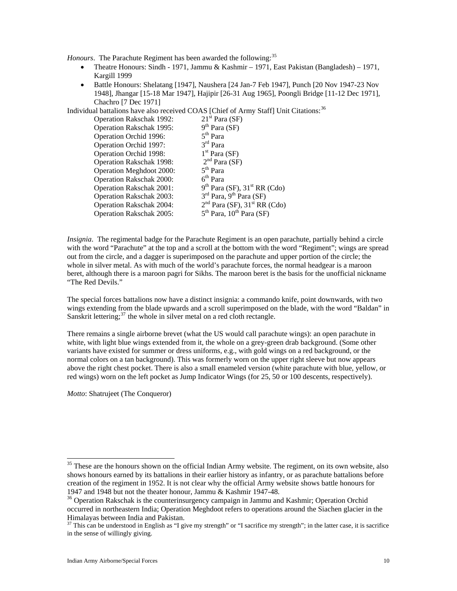*Honours*. The Parachute Regiment has been awarded the following:<sup>[35](#page-9-0)</sup>

- Theatre Honours: Sindh 1971, Jammu & Kashmir 1971, East Pakistan (Bangladesh) 1971, Kargill 1999
- Battle Honours: Shelatang [1947], Naushera [24 Jan-7 Feb 1947], Punch [20 Nov 1947-23 Nov 1948], Jhangar [15-18 Mar 1947], Hajipir [26-31 Aug 1965], Poongli Bridge [11-12 Dec 1971], Chachro [7 Dec 1971]

Individual battalions have also received COAS [Chief of Army Staff] Unit Citations:<sup>[36](#page-9-1)</sup>

| <b>Operation Rakschak 1992:</b> | $21st$ Para (SF)                           |
|---------------------------------|--------------------------------------------|
| <b>Operation Rakschak 1995:</b> | $9th$ Para (SF)                            |
| Operation Orchid 1996:          | $5th$ Para                                 |
| Operation Orchid 1997:          | $3rd$ Para                                 |
| Operation Orchid 1998:          | $1st$ Para (SF)                            |
| <b>Operation Rakschak 1998:</b> | $2nd$ Para (SF)                            |
| Operation Meghdoot 2000:        | $5th$ Para                                 |
| <b>Operation Rakschak 2000:</b> | $6th$ Para                                 |
| <b>Operation Rakschak 2001:</b> | $9th$ Para (SF), 31 <sup>st</sup> RR (Cdo) |
| <b>Operation Rakschak 2003:</b> | $3rd$ Para, 9 <sup>th</sup> Para (SF)      |
| <b>Operation Rakschak 2004:</b> | $2nd$ Para (SF), 31 <sup>st</sup> RR (Cdo) |
| <b>Operation Rakschak 2005:</b> | $5th$ Para, $10th$ Para (SF)               |

*Insignia*. The regimental badge for the Parachute Regiment is an open parachute, partially behind a circle with the word "Parachute" at the top and a scroll at the bottom with the word "Regiment"; wings are spread out from the circle, and a dagger is superimposed on the parachute and upper portion of the circle; the whole in silver metal. As with much of the world's parachute forces, the normal headgear is a maroon beret, although there is a maroon pagri for Sikhs. The maroon beret is the basis for the unofficial nickname "The Red Devils."

The special forces battalions now have a distinct insignia: a commando knife, point downwards, with two wings extending from the blade upwards and a scroll superimposed on the blade, with the word "Baldan" in Sanskrit lettering; $37$  the whole in silver metal on a red cloth rectangle.

There remains a single airborne brevet (what the US would call parachute wings): an open parachute in white, with light blue wings extended from it, the whole on a grey-green drab background. (Some other variants have existed for summer or dress uniforms, e.g., with gold wings on a red background, or the normal colors on a tan background). This was formerly worn on the upper right sleeve but now appears above the right chest pocket. There is also a small enameled version (white parachute with blue, yellow, or red wings) worn on the left pocket as Jump Indicator Wings (for 25, 50 or 100 descents, respectively).

*Motto*: Shatrujeet (The Conqueror)

 $\overline{\phantom{a}}$ 

<span id="page-9-0"></span> $35$  These are the honours shown on the official Indian Army website. The regiment, on its own website, also shows honours earned by its battalions in their earlier history as infantry, or as parachute battalions before creation of the regiment in 1952. It is not clear why the official Army website shows battle honours for 1947 and 1948 but not the theater honour, Jammu & Kashmir 1947-48.

<span id="page-9-1"></span><sup>&</sup>lt;sup>36</sup> Operation Rakschak is the counterinsurgency campaign in Jammu and Kashmir; Operation Orchid occurred in northeastern India; Operation Meghdoot refers to operations around the Siachen glacier in the Himalayas between India and Pakistan.

<span id="page-9-2"></span> $37$  This can be understood in English as "I give my strength" or "I sacrifice my strength"; in the latter case, it is sacrifice in the sense of willingly giving.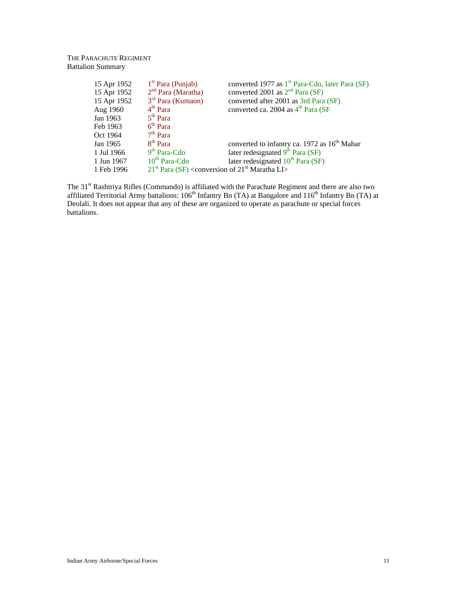# THE PARACHUTE REGIMENT Battalion Summary

| 15 Apr 1952 | $1st$ Para (Punjab)                                 | converted 1977 as 1 <sup>st</sup> Para-Cdo, later Para (SF) |
|-------------|-----------------------------------------------------|-------------------------------------------------------------|
| 15 Apr 1952 | $2nd$ Para (Maratha)                                | converted 2001 as $2nd$ Para (SF)                           |
| 15 Apr 1952 | $3rd$ Para (Kumaon)                                 | converted after 2001 as 3rd Para (SF)                       |
| Aug 1960    | $4th$ Para                                          | converted ca. 2004 as 4 <sup>th</sup> Para (SF              |
| Jan 1963    | $5th$ Para                                          |                                                             |
| Feb 1963    | $6th$ Para                                          |                                                             |
| Oct 1964    | $7th$ Para                                          |                                                             |
| Jan 1965    | $8th$ Para                                          | converted to infantry ca. 1972 as 16 <sup>th</sup> Mahar    |
| 1 Jul 1966  | $9th$ Para-Cdo                                      | later redesignated $9th$ Para (SF)                          |
| 1 Jun 1967  | 10 <sup>th</sup> Para-Cdo                           | later redesignated $10^{th}$ Para (SF)                      |
| 1 Feb 1996  | $21st$ Para (SF) < conversion of $21st$ Maratha LI> |                                                             |

The 31<sup>st</sup> Rashtriya Rifles (Commando) is affiliated with the Parachute Regiment and there are also two affiliated Territorial Army battalions: 106<sup>th</sup> Infantry Bn (TA) at Bangalore and 116<sup>th</sup> Infantry Bn (TA) at Deolali. It does not appear that any of these are organized to operate as parachute or special forces battalions.